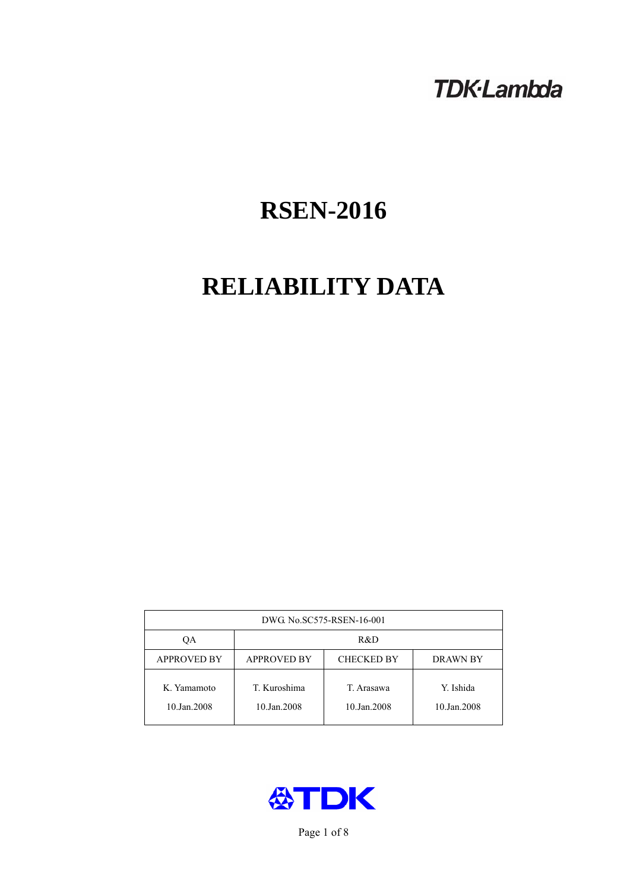## **TDK-Lambda**

# **RSEN-2016**

# **RELIABILITY DATA**

| DWG No.SC575-RSEN-16-001   |                                                            |                           |                          |  |  |
|----------------------------|------------------------------------------------------------|---------------------------|--------------------------|--|--|
| QA                         | R&D                                                        |                           |                          |  |  |
| <b>APPROVED BY</b>         | <b>APPROVED BY</b><br><b>CHECKED BY</b><br><b>DRAWN BY</b> |                           |                          |  |  |
| K. Yamamoto<br>10.Jan.2008 | T. Kuroshima<br>10.Jan.2008                                | T. Arasawa<br>10.Jan.2008 | Y. Ishida<br>10.Jan.2008 |  |  |



Page 1 of 8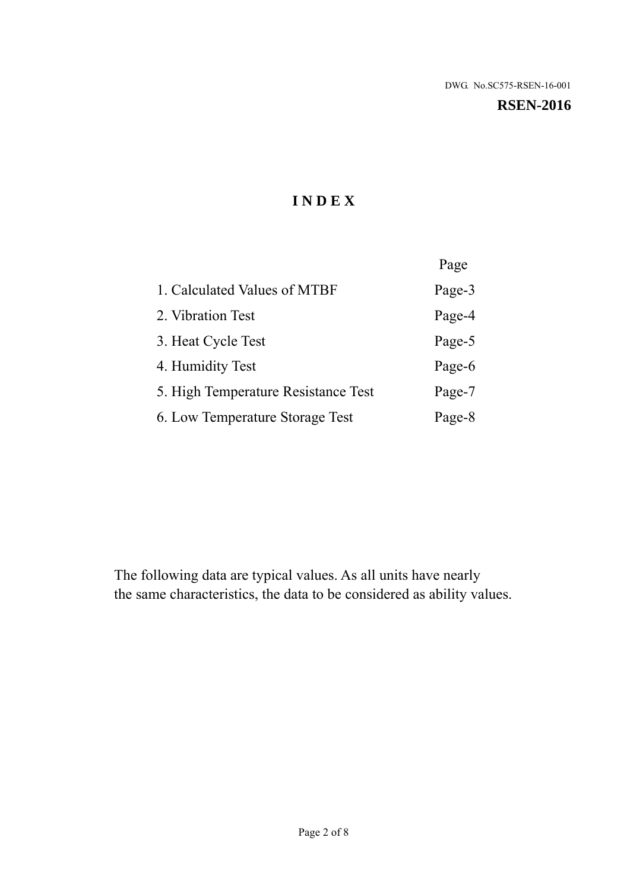#### **RSEN-2016**

## **I N D E X**

|                                     | Page   |
|-------------------------------------|--------|
| 1. Calculated Values of MTBF        | Page-3 |
| 2. Vibration Test                   | Page-4 |
| 3. Heat Cycle Test                  | Page-5 |
| 4. Humidity Test                    | Page-6 |
| 5. High Temperature Resistance Test | Page-7 |
| 6. Low Temperature Storage Test     | Page-8 |

The following data are typical values. As all units have nearly the same characteristics, the data to be considered as ability values.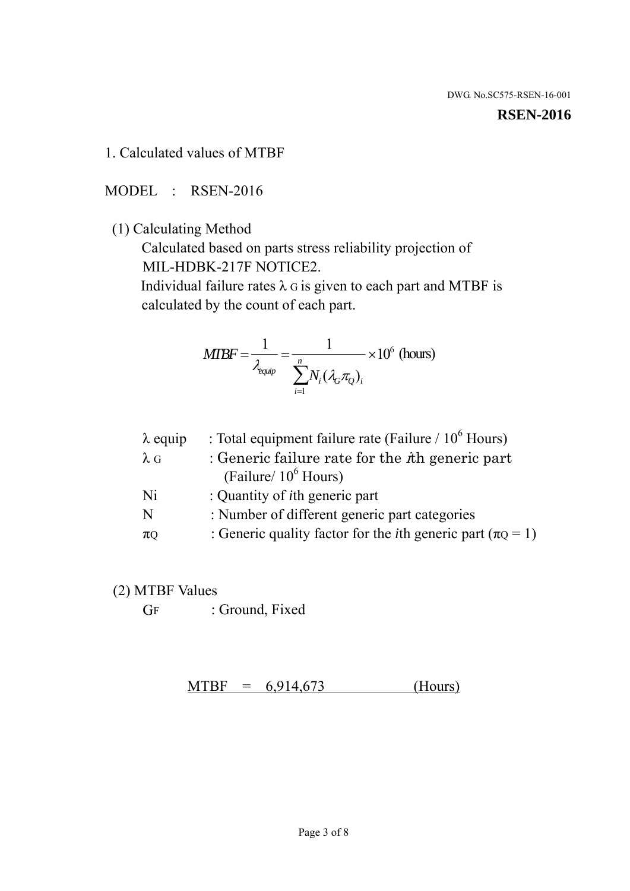#### **RSEN-2016**

1. Calculated values of MTBF

MODEL : RSEN-2016

(1) Calculating Method

 Calculated based on parts stress reliability projection of MIL-HDBK-217F NOTICE2.

Individual failure rates  $\lambda$  G is given to each part and MTBF is calculated by the count of each part.

$$
MTBF = \frac{1}{\lambda_{\text{equip}}} = \frac{1}{\sum_{i=1}^{n} N_i (\lambda_G \pi_Q)_i} \times 10^6 \text{ (hours)}
$$

| $\lambda$ equip | : Total equipment failure rate (Failure $/ 10^6$ Hours)                   |
|-----------------|---------------------------------------------------------------------------|
| $\lambda$ G     | : Generic failure rate for the $\hbar$ generic part                       |
|                 | (Failure/ $10^6$ Hours)                                                   |
| Ni              | : Quantity of <i>i</i> th generic part                                    |
| N               | : Number of different generic part categories                             |
| $\pi$ Q         | : Generic quality factor for the <i>i</i> th generic part ( $\pi Q = 1$ ) |

- (2) MTBF Values
	- GF : Ground, Fixed

 $MTBF = 6,914,673$  (Hours)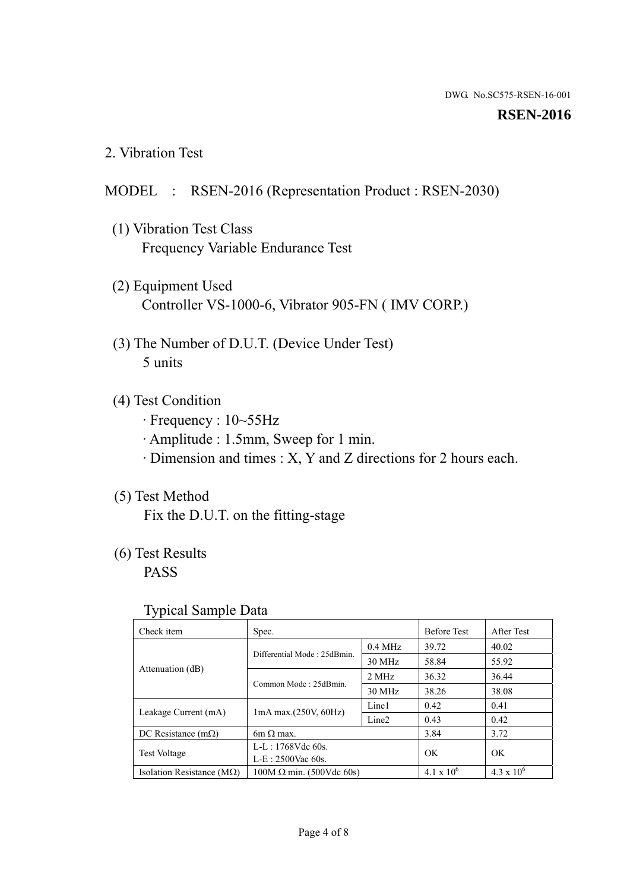#### **RSEN-2016**

2. Vibration Test

## MODEL : RSEN-2016 (Representation Product : RSEN-2030)

- (1) Vibration Test Class Frequency Variable Endurance Test
- (2) Equipment Used Controller VS-1000-6, Vibrator 905-FN ( IMV CORP.)
- (3) The Number of D.U.T. (Device Under Test) 5 units
- (4) Test Condition
	- · Frequency : 10~55Hz
	- · Amplitude : 1.5mm, Sweep for 1 min.
	- · Dimension and times : X, Y and Z directions for 2 hours each.

## (5) Test Method

Fix the D.U.T. on the fitting-stage

## (6) Test Results

PASS

#### Typical Sample Data

| . .                           |                                                         |           |                     |                     |
|-------------------------------|---------------------------------------------------------|-----------|---------------------|---------------------|
| Check item                    | Spec.                                                   |           | <b>Before Test</b>  | After Test          |
|                               | Differential Mode: 25dBmin.                             | $0.4$ MHz | 39.72               | 40.02               |
|                               |                                                         | 30 MHz    | 58.84               | 55.92               |
| Attenuation (dB)              | Common Mode: 25dBmin.                                   | 2 MHz     | 36.32               | 36.44               |
|                               |                                                         | 30 MHz    | 38.26               | 38.08               |
| Leakage Current (mA)          | Line1<br>$1mA$ max. $(250V, 60Hz)$<br>Line <sub>2</sub> |           | 0.42                | 0.41                |
|                               |                                                         |           | 0.43                | 0.42                |
| DC Resistance $(m\Omega)$     | 6m $\Omega$ max.                                        |           | 3.84                | 3.72                |
| <b>Test Voltage</b>           | $L-L: 1768Vdc$ 60s.                                     |           | OK                  | OK.                 |
|                               | $L-E$ : 2500Vac 60s.                                    |           |                     |                     |
| Isolation Resistance ( $MQ$ ) | $100M \Omega$ min. (500Vdc 60s)                         |           | $4.1 \times 10^{6}$ | $4.3 \times 10^{6}$ |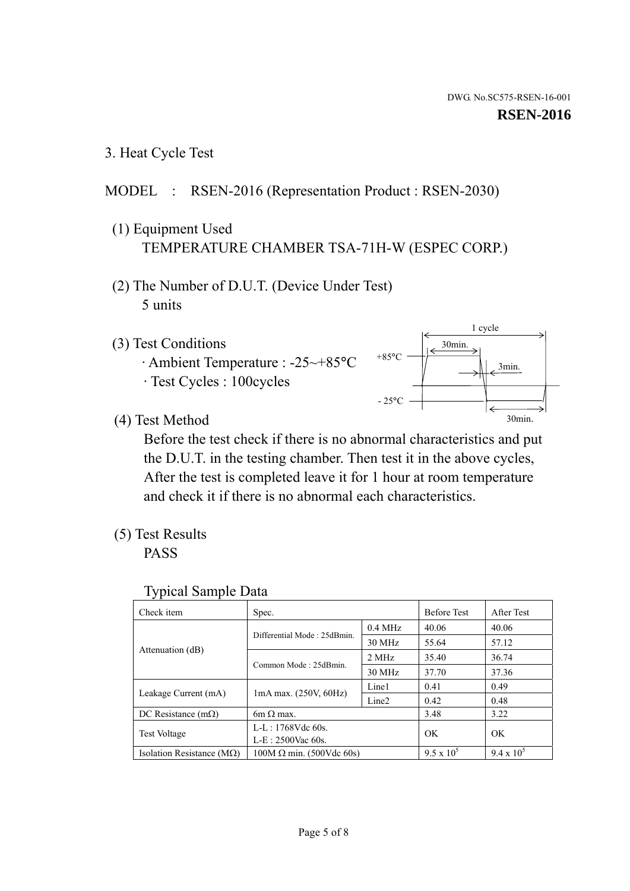3. Heat Cycle Test

## MODEL : RSEN-2016 (Representation Product : RSEN-2030)

- (1) Equipment Used TEMPERATURE CHAMBER TSA-71H-W (ESPEC CORP.)
- (2) The Number of D.U.T. (Device Under Test) 5 units
- (3) Test Conditions
	- · Ambient Temperature : -25~+85°C · Test Cycles : 100cycles



(4) Test Method

 Before the test check if there is no abnormal characteristics and put the D.U.T. in the testing chamber. Then test it in the above cycles, After the test is completed leave it for 1 hour at room temperature and check it if there is no abnormal each characteristics.

(5) Test Results

PASS

| <b>Typical Sample Data</b> |  |  |
|----------------------------|--|--|
|----------------------------|--|--|

| Check item                    | Spec.                                                   |           | <b>Before Test</b> | After Test        |
|-------------------------------|---------------------------------------------------------|-----------|--------------------|-------------------|
|                               |                                                         | $0.4$ MHz | 40.06              | 40.06             |
|                               | Differential Mode: 25dBmin.                             | 30 MHz    | 55.64              | 57.12             |
| Attenuation (dB)              | Common Mode: 25dBmin.                                   | 2 MHz     | 35.40              | 36.74             |
|                               |                                                         | 30 MHz    | 37.70              | 37.36             |
|                               | Line1<br>$1mA$ max. $(250V, 60Hz)$<br>Line <sub>2</sub> |           | 0.41               | 0.49              |
| Leakage Current (mA)          |                                                         |           | 0.42               | 0.48              |
| DC Resistance $(m\Omega)$     | $6m \Omega$ max.                                        |           | 3.48               | 3.22              |
|                               | L-L: $1768V$ de $60s$ .                                 |           | OK                 | OK                |
| <b>Test Voltage</b>           | $L-E: 2500$ Vac 60s.                                    |           |                    |                   |
| Isolation Resistance ( $MQ$ ) | $100M \Omega$ min. (500Vdc 60s)                         |           | $9.5 \times 10^5$  | $9.4 \times 10^5$ |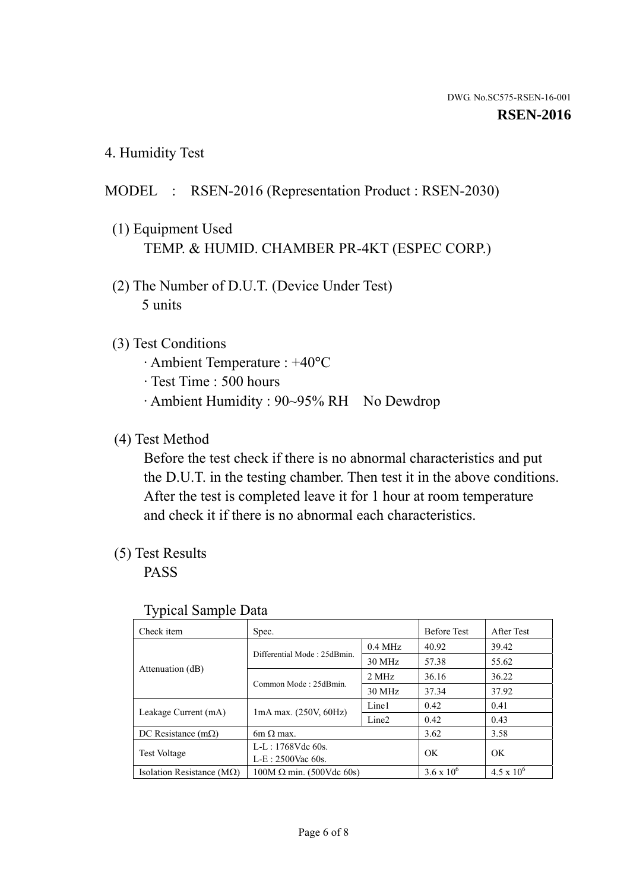4. Humidity Test

## MODEL : RSEN-2016 (Representation Product : RSEN-2030)

- (1) Equipment Used TEMP. & HUMID. CHAMBER PR-4KT (ESPEC CORP.)
- (2) The Number of D.U.T. (Device Under Test) 5 units

### (3) Test Conditions

- · Ambient Temperature : +40°C
- · Test Time : 500 hours
- · Ambient Humidity : 90~95% RH No Dewdrop

## (4) Test Method

 Before the test check if there is no abnormal characteristics and put the D.U.T. in the testing chamber. Then test it in the above conditions. After the test is completed leave it for 1 hour at room temperature and check it if there is no abnormal each characteristics.

## (5) Test Results

PASS

| ╯┸                                 |                                 |                   |                     |                     |
|------------------------------------|---------------------------------|-------------------|---------------------|---------------------|
| Check item                         | Spec.                           |                   | <b>Before Test</b>  | After Test          |
|                                    | Differential Mode: 25dBmin.     | $0.4$ MHz         | 40.92               | 39.42               |
|                                    |                                 | 30 MHz            | 57.38               | 55.62               |
| Attenuation (dB)                   | Common Mode: 25dBmin.           | 2 MHz             | 36.16               | 36.22               |
|                                    |                                 | 30 MHz            | 37.34               | 37.92               |
| Leakage Current (mA)               | $1mA$ max. $(250V, 60Hz)$       | Line1             | 0.42                | 0.41                |
|                                    |                                 | Line <sub>2</sub> | 0.42                | 0.43                |
| DC Resistance $(m\Omega)$          | 6m $\Omega$ max.                |                   | 3.62                | 3.58                |
| <b>Test Voltage</b>                | $L-L: 1768Vdc$ 60s.             |                   | OK                  | OK                  |
|                                    | $L-E: 2500$ Vac 60s.            |                   |                     |                     |
| Isolation Resistance ( $M\Omega$ ) | $100M \Omega$ min. (500Vdc 60s) |                   | $3.6 \times 10^{6}$ | $4.5 \times 10^{6}$ |

#### Typical Sample Data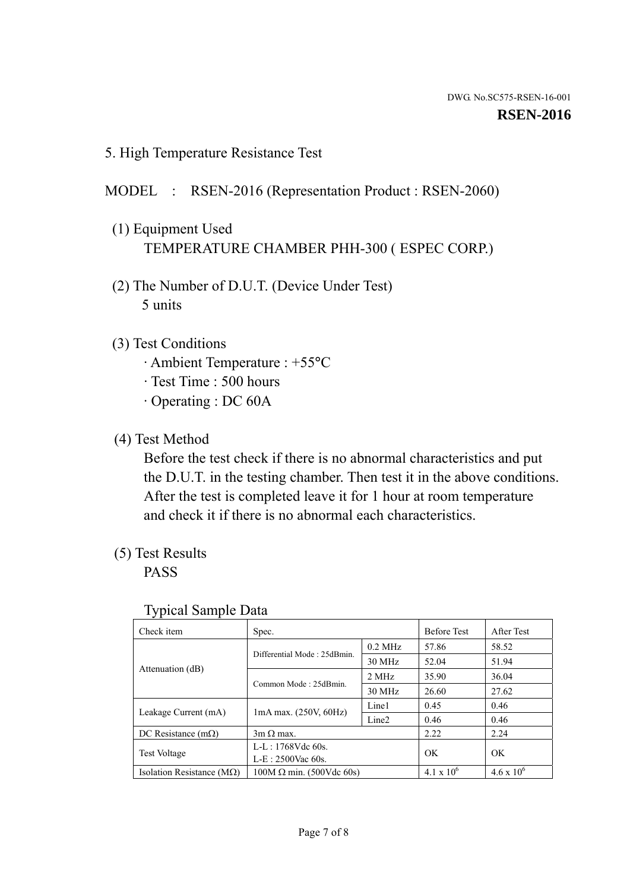5. High Temperature Resistance Test

## MODEL : RSEN-2016 (Representation Product : RSEN-2060)

- (1) Equipment Used TEMPERATURE CHAMBER PHH-300 ( ESPEC CORP.)
- (2) The Number of D.U.T. (Device Under Test) 5 units
- (3) Test Conditions
	- · Ambient Temperature : +55°C
	- · Test Time : 500 hours
	- · Operating : DC 60A
- (4) Test Method

 Before the test check if there is no abnormal characteristics and put the D.U.T. in the testing chamber. Then test it in the above conditions. After the test is completed leave it for 1 hour at room temperature and check it if there is no abnormal each characteristics.

(5) Test Results

PASS

| J 1                                |                                                                                 |           |                     |                     |
|------------------------------------|---------------------------------------------------------------------------------|-----------|---------------------|---------------------|
| Check item                         | Spec.                                                                           |           | <b>Before Test</b>  | After Test          |
| Attenuation (dB)                   | Differential Mode: 25dBmin.                                                     | $0.2$ MHz | 57.86               | 58.52               |
|                                    |                                                                                 | 30 MHz    | 52.04               | 51.94               |
|                                    | Common Mode: 25dBmin.                                                           | 2 MHz     | 35.90               | 36.04               |
|                                    |                                                                                 | 30 MHz    | 26.60               | 27.62               |
|                                    | Line1<br>$1mA$ max. $(250V, 60Hz)$<br>Leakage Current (mA)<br>Line <sub>2</sub> |           | 0.45                | 0.46                |
|                                    |                                                                                 |           | 0.46                | 0.46                |
| DC Resistance $(m\Omega)$          | $3m \Omega$ max.                                                                |           | 2.22                | 2.24                |
|                                    | $L-L: 1768Vdc$ 60s.                                                             |           | OK                  | OK                  |
| <b>Test Voltage</b>                | $L-E$ : 2500Vac 60s.                                                            |           |                     |                     |
| Isolation Resistance ( $M\Omega$ ) | $100M \Omega$ min. (500Vdc 60s)                                                 |           | $4.1 \times 10^{6}$ | $4.6 \times 10^{6}$ |

#### Typical Sample Data